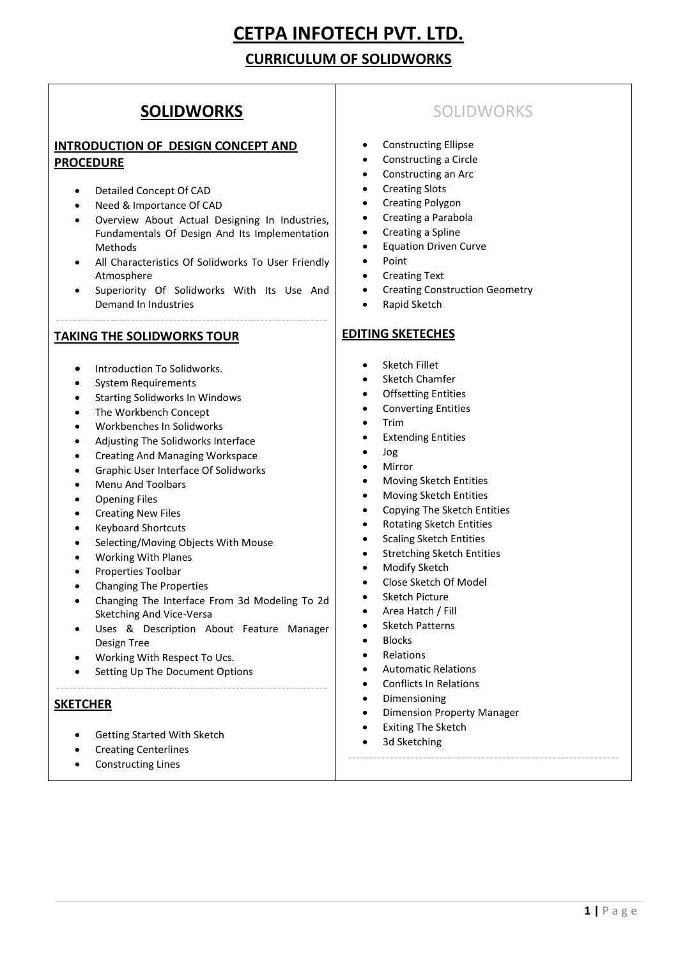# **CETPA INFOTECH PVT. LTD.**

# **CURRICULUM OF SOLIDWORKS**

# **SOLIDWORKS**

## **INTRODUCTION OF DESIGN CONCEPT AND PROCEDURE**

- Detailed Concept Of CAD
- Need & Importance Of CAD
- Overview About Actual Designing In Industries, Fundamentals Of Design And Its Implementation Methods
- All Characteristics Of Solidworks To User Friendly Atmosphere
- Superiority Of Solidworks With Its Use And Demand In Industries

-----------------------------------------------------------------

#### **TAKING THE SOLIDWORKS TOUR**

- **•** Introduction To Solidworks.
- System Requirements
- Starting Solidworks In Windows
- The Workbench Concept
- Workbenches In Solidworks
- Adjusting The Solidworks Interface
- Creating And Managing Workspace
- Graphic User Interface Of Solidworks
- Menu And Toolbars
- Opening Files
- Creating New Files
- Keyboard Shortcuts
- Selecting/Moving Objects With Mouse
- Working With Planes
- Properties Toolbar
- Changing The Properties
- Changing The Interface From 3d Modeling To 2d Sketching And Vice-Versa
- Uses & Description About Feature Manager Design Tree

-----------------------------------------------------------------

- Working With Respect To Ucs.
- Setting Up The Document Options

### **SKETCHER**

- Getting Started With Sketch
- Creating Centerlines
- Constructing Lines

# SOLIDWORKS

- Constructing Ellipse
- Constructing a Circle
- Constructing an Arc
- Creating Slots
- Creating Polygon
- Creating a Parabola
- Creating a Spline
- Equation Driven Curve
- Point
- Creating Text
- Creating Construction Geometry
- Rapid Sketch

### **EDITING SKETECHES**

- Sketch Fillet
- Sketch Chamfer
- Offsetting Entities
- Converting Entities
- Trim
- Extending Entities
- Jog
- Mirror
- Moving Sketch Entities
- Moving Sketch Entities
- Copying The Sketch Entities
- Rotating Sketch Entities
- Scaling Sketch Entities
- Stretching Sketch Entities
- Modify Sketch
- Close Sketch Of Model
- Sketch Picture
- Area Hatch / Fill
- Sketch Patterns
- Blocks
- Relations
- Automatic Relations
- Conflicts In Relations
- Dimensioning
- Dimension Property Manager

-----------------------------------------------------------------

- Exiting The Sketch
- 3d Sketching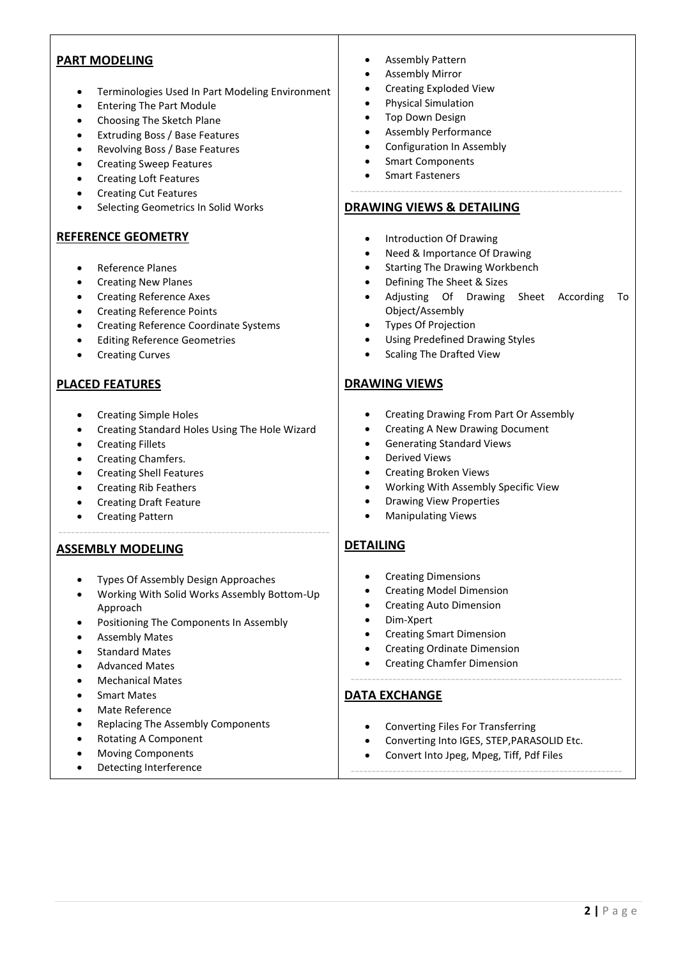### **PART MODELING**

- Terminologies Used In Part Modeling Environment
- Entering The Part Module
- Choosing The Sketch Plane
- Extruding Boss / Base Features
- Revolving Boss / Base Features
- Creating Sweep Features
- Creating Loft Features
- Creating Cut Features
- Selecting Geometrics In Solid Works

#### **REFERENCE GEOMETRY**

- Reference Planes
- Creating New Planes
- Creating Reference Axes
- Creating Reference Points
- Creating Reference Coordinate Systems
- Editing Reference Geometries
- Creating Curves

#### **PLACED FEATURES**

- Creating Simple Holes
- Creating Standard Holes Using The Hole Wizard
- Creating Fillets
- Creating Chamfers.
- Creating Shell Features
- Creating Rib Feathers
- Creating Draft Feature
- Creating Pattern

#### **ASSEMBLY MODELING**

- Types Of Assembly Design Approaches
- Working With Solid Works Assembly Bottom-Up Approach

-----------------------------------------------------------------

- Positioning The Components In Assembly
- Assembly Mates
- Standard Mates
- Advanced Mates
- Mechanical Mates
- Smart Mates
- Mate Reference
- Replacing The Assembly Components
- Rotating A Component
- Moving Components
- Detecting Interference
- Assembly Pattern
- Assembly Mirror
- Creating Exploded View
- Physical Simulation
- Top Down Design
- Assembly Performance
- Configuration In Assembly
- Smart Components
- Smart Fasteners

#### **DRAWING VIEWS & DETAILING**

- Introduction Of Drawing
- Need & Importance Of Drawing
- Starting The Drawing Workbench
- Defining The Sheet & Sizes
- Adjusting Of Drawing Sheet According To Object/Assembly

-----------------------------------------------------------------

- Types Of Projection
- Using Predefined Drawing Styles
- Scaling The Drafted View

### **DRAWING VIEWS**

- Creating Drawing From Part Or Assembly
- Creating A New Drawing Document
- Generating Standard Views
- Derived Views
- Creating Broken Views
- Working With Assembly Specific View
- Drawing View Properties
- Manipulating Views

### **DETAILING**

- **•** Creating Dimensions
- Creating Model Dimension
- Creating Auto Dimension
- Dim-Xpert
- Creating Smart Dimension
- Creating Ordinate Dimension
- Creating Chamfer Dimension

### **DATA EXCHANGE**

- Converting Files For Transferring
- Converting Into IGES, STEP,PARASOLID Etc.

-----------------------------------------------------------------

-----------------------------------------------------------------

Convert Into Jpeg, Mpeg, Tiff, Pdf Files